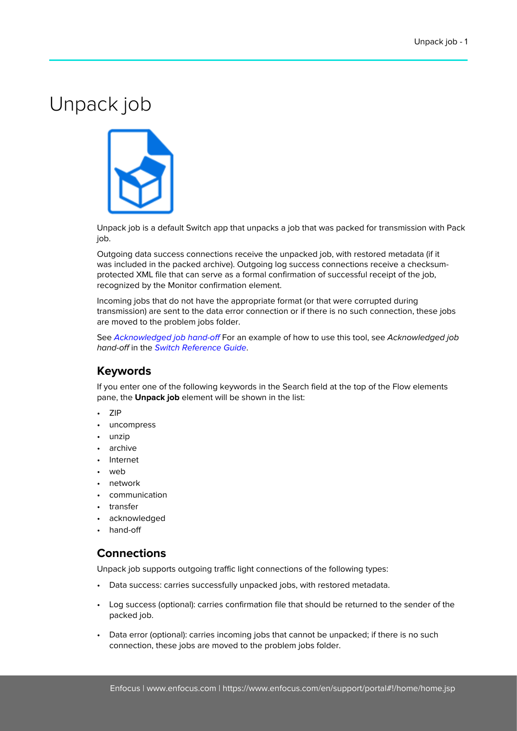## Unpack job



Unpack job is a default Switch app that unpacks a job that was packed for transmission with Pack job.

Outgoing data success connections receive the unpacked job, with restored metadata (if it was included in the packed archive). Outgoing log success connections receive a checksumprotected XML file that can serve as a formal confirmation of successful receipt of the job, recognized by the Monitor confirmation element.

Incoming jobs that do not have the appropriate format (or that were corrupted during transmission) are sent to the data error connection or if there is no such connection, these jobs are moved to the problem jobs folder.

See Acknowledged job hand-off For an example of how to use this tool, see Acknowledged job hand-off in the [Switch Reference Guide](https://www.enfocus.com/en/support/manuals/switch-manuals).

## **Keywords**

If you enter one of the following keywords in the Search field at the top of the Flow elements pane, the **Unpack job** element will be shown in the list:

- ZIP
- uncompress
- unzip
- archive
- Internet
- web
- network
- communication
- transfer
- acknowledged
- hand-off

## **Connections**

Unpack job supports outgoing traffic light connections of the following types:

- Data success: carries successfully unpacked jobs, with restored metadata.
- Log success (optional): carries confirmation file that should be returned to the sender of the packed job.
- Data error (optional): carries incoming jobs that cannot be unpacked; if there is no such connection, these jobs are moved to the problem jobs folder.